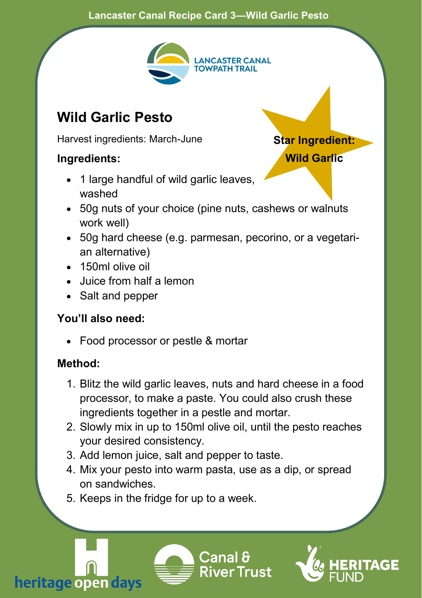#### **Lancaster Canal Recipe Card 3—Wild Garlic Pesto**



**Star Ingredient: Wild Garlic**

## **Wild Garlic Pesto**

Harvest ingredients: March-June

### **Ingredients:**

- 1 large handful of wild garlic leaves. washed
- 50g nuts of your choice (pine nuts, cashews or walnuts work well)
- 50g hard cheese (e.g. parmesan, pecorino, or a vegetarian alternative)
- 150ml olive oil
- Juice from half a lemon
- Salt and pepper

#### **You'll also need:**

• Food processor or pestle & mortar

#### **Method:**

- 1. Blitz the wild garlic leaves, nuts and hard cheese in a food processor, to make a paste. You could also crush these ingredients together in a pestle and mortar.
- 2. Slowly mix in up to 150ml olive oil, until the pesto reaches your desired consistency.
- 3. Add lemon juice, salt and pepper to taste.
- 4. Mix your pesto into warm pasta, use as a dip, or spread on sandwiches.
- 5. Keeps in the fridge for up to a week.